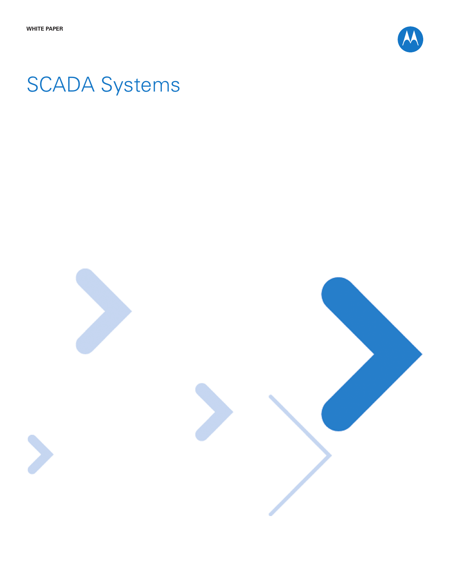

# SCADA Systems

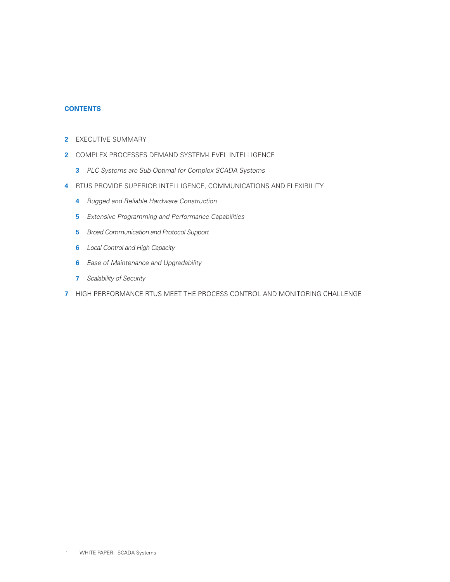# **CONTENTS**

- Executive Summary
- Complex Processes Demand System-Level Intelligence
	- PLC Systems are Sub-Optimal for Complex SCADA Systems
- RTUS Provide Superior Intelligence, Communications and Flexibility
	- **4** Rugged and Reliable Hardware Construction
	- Extensive Programming and Performance Capabilities
	- Broad Communication and Protocol Support
	- Local Control and High Capacity
	- Ease of Maintenance and Upgradability
	- Scalability of Security
- High Performance RTUS Meet the Process Control and Monitoring Challenge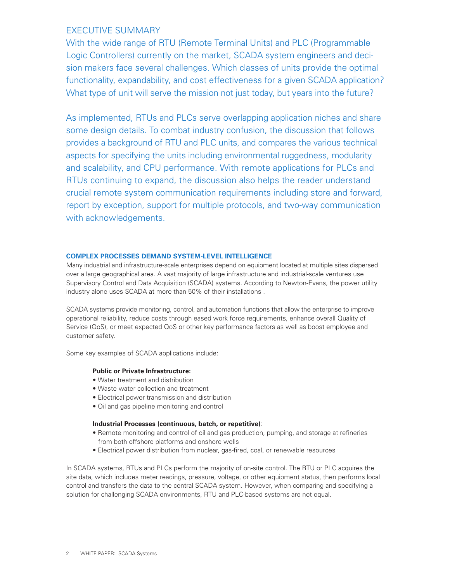# Executive Summary

With the wide range of RTU (Remote Terminal Units) and PLC (Programmable Logic Controllers) currently on the market, SCADA system engineers and decision makers face several challenges. Which classes of units provide the optimal functionality, expandability, and cost effectiveness for a given SCADA application? What type of unit will serve the mission not just today, but years into the future?

As implemented, RTUs and PLCs serve overlapping application niches and share some design details. To combat industry confusion, the discussion that follows provides a background of RTU and PLC units, and compares the various technical aspects for specifying the units including environmental ruggedness, modularity and scalability, and CPU performance. With remote applications for PLCs and RTUs continuing to expand, the discussion also helps the reader understand crucial remote system communication requirements including store and forward, report by exception, support for multiple protocols, and two-way communication with acknowledgements.

# **Complex Processes Demand System-Level Intelligence**

Many industrial and infrastructure-scale enterprises depend on equipment located at multiple sites dispersed over a large geographical area. A vast majority of large infrastructure and industrial-scale ventures use Supervisory Control and Data Acquisition (SCADA) systems. According to Newton-Evans, the power utility industry alone uses SCADA at more than 50% of their installations .

SCADA systems provide monitoring, control, and automation functions that allow the enterprise to improve operational reliability, reduce costs through eased work force requirements, enhance overall Quality of Service (QoS), or meet expected QoS or other key performance factors as well as boost employee and customer safety.

Some key examples of SCADA applications include:

# **Public or Private Infrastructure:**

- Water treatment and distribution
- Waste water collection and treatment
- Electrical power transmission and distribution
- Oil and gas pipeline monitoring and control

#### **Industrial Processes (continuous, batch, or repetitive)**:

- Remote monitoring and control of oil and gas production, pumping, and storage at refineries from both offshore platforms and onshore wells
- Electrical power distribution from nuclear, gas-fired, coal, or renewable resources

In SCADA systems, RTUs and PLCs perform the majority of on-site control. The RTU or PLC acquires the site data, which includes meter readings, pressure, voltage, or other equipment status, then performs local control and transfers the data to the central SCADA system. However, when comparing and specifying a solution for challenging SCADA environments, RTU and PLC-based systems are not equal.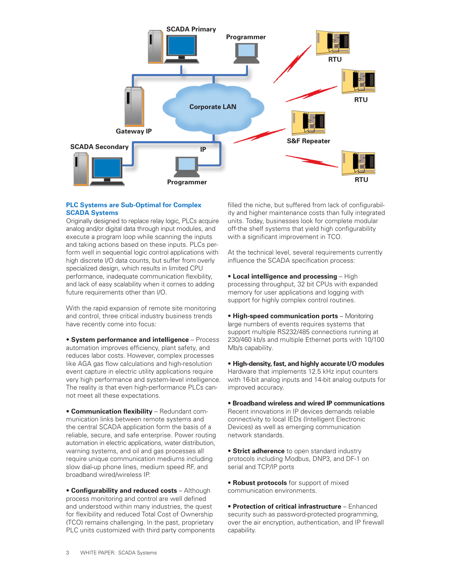

# **PLC Systems are Sub-Optimal for Complex SCADA Systems**

Originally designed to replace relay logic, PLCs acquire analog and/or digital data through input modules, and execute a program loop while scanning the inputs and taking actions based on these inputs. PLCs perform well in sequential logic control applications with high discrete I/O data counts, but suffer from overly specialized design, which results in limited CPU performance, inadequate communication flexibility, and lack of easy scalability when it comes to adding future requirements other than I/O.

With the rapid expansion of remote site monitoring and control, three critical industry business trends have recently come into focus:

• **System performance and intelligence** – Process automation improves efficiency, plant safety, and reduces labor costs. However, complex processes like AGA gas flow calculations and high-resolution event capture in electric utility applications require very high performance and system-level intelligence. The reality is that even high-performance PLCs cannot meet all these expectations.

• **Communication flexibility** – Redundant communication links between remote systems and the central SCADA application form the basis of a reliable, secure, and safe enterprise. Power routing automation in electric applications, water distribution, warning systems, and oil and gas processes all require unique communication mediums including slow dial-up phone lines, medium speed RF, and broadband wired/wireless IP.

• **Configurability and reduced costs** – Although process monitoring and control are well defined and understood within many industries, the quest for flexibility and reduced Total Cost of Ownership (TCO) remains challenging. In the past, proprietary PLC units customized with third party components filled the niche, but suffered from lack of configurability and higher maintenance costs than fully integrated units. Today, businesses look for complete modular off-the shelf systems that yield high configurability with a significant improvement in TCO.

At the technical level, several requirements currently influence the SCADA specification process:

• **Local intelligence and processing** – High processing throughput, 32 bit CPUs with expanded memory for user applications and logging with support for highly complex control routines.

• **High-speed communication ports** – Monitoring large numbers of events requires systems that support multiple RS232/485 connections running at 230/460 kb/s and multiple Ethernet ports with 10/100 Mb/s capability.

• **High-density, fast, and highly accurate I/O modules** Hardware that implements 12.5 kHz input counters with 16-bit analog inputs and 14-bit analog outputs for improved accuracy.

• **Broadband wireless and wired IP communications** Recent innovations in IP devices demands reliable connectivity to local IEDs (Intelligent Electronic Devices) as well as emerging communication network standards.

• **Strict adherence** to open standard industry protocols including Modbus, DNP3, and DF-1 on serial and TCP/IP ports

• **Robust protocols** for support of mixed communication environments.

• **Protection of critical infrastructure** – Enhanced security such as password-protected programming, over the air encryption, authentication, and IP firewall capability.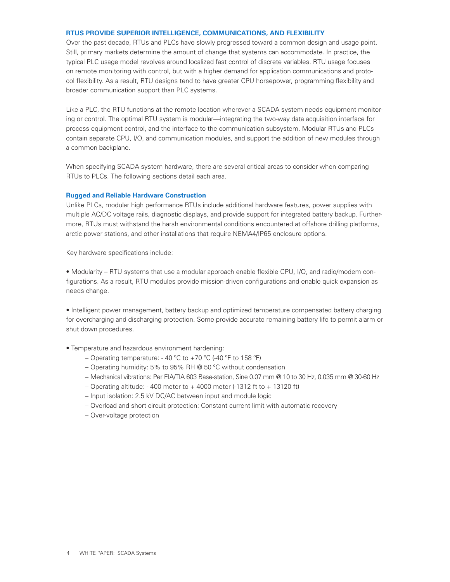## **RTUs Provide Superior Intelligence, Communications, and Flexibility**

Over the past decade, RTUs and PLCs have slowly progressed toward a common design and usage point. Still, primary markets determine the amount of change that systems can accommodate. In practice, the typical PLC usage model revolves around localized fast control of discrete variables. RTU usage focuses on remote monitoring with control, but with a higher demand for application communications and protocol flexibility. As a result, RTU designs tend to have greater CPU horsepower, programming flexibility and broader communication support than PLC systems.

Like a PLC, the RTU functions at the remote location wherever a SCADA system needs equipment monitoring or control. The optimal RTU system is modular—integrating the two-way data acquisition interface for process equipment control, and the interface to the communication subsystem. Modular RTUs and PLCs contain separate CPU, I/O, and communication modules, and support the addition of new modules through a common backplane.

When specifying SCADA system hardware, there are several critical areas to consider when comparing RTUs to PLCs. The following sections detail each area.

#### **Rugged and Reliable Hardware Construction**

Unlike PLCs, modular high performance RTUs include additional hardware features, power supplies with multiple AC/DC voltage rails, diagnostic displays, and provide support for integrated battery backup. Furthermore, RTUs must withstand the harsh environmental conditions encountered at offshore drilling platforms, arctic power stations, and other installations that require NEMA4/IP65 enclosure options.

Key hardware specifications include:

• Modularity – RTU systems that use a modular approach enable flexible CPU, I/O, and radio/modem configurations. As a result, RTU modules provide mission-driven configurations and enable quick expansion as needs change.

• Intelligent power management, battery backup and optimized temperature compensated battery charging for overcharging and discharging protection. Some provide accurate remaining battery life to permit alarm or shut down procedures.

- Temperature and hazardous environment hardening:
	- Operating temperature: 40 °C to +70 °C (-40 °F to 158 °F)
	- Operating humidity: 5% to 95% RH @ 50 ºC without condensation
	- Mechanical vibrations: Per EIA/TIA 603 Base-station, Sine 0.07 mm @ 10 to 30 Hz, 0.035 mm @ 30-60 Hz
	- Operating altitude: 400 meter to  $+$  4000 meter (-1312 ft to  $+$  13120 ft)
	- Input isolation: 2.5 kV DC/AC between input and module logic
	- Overload and short circuit protection: Constant current limit with automatic recovery
	- Over-voltage protection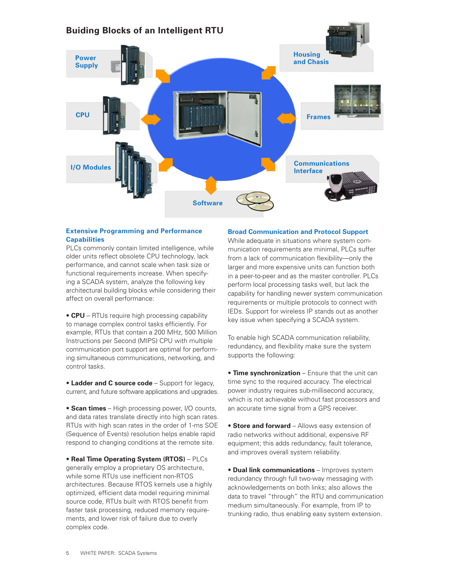

# **Extensive Programming and Performance Capabilities**

PLCs commonly contain limited intelligence, while older units reflect obsolete CPU technology, lack performance, and cannot scale when task size or functional requirements increase. When specifying a SCADA system, analyze the following key architectural building blocks while considering their affect on overall performance:

• **CPU** – RTUs require high processing capability to manage complex control tasks efficiently. For example, RTUs that contain a 200 MHz, 500 Million Instructions per Second (MIPS) CPU with multiple communication port support are optimal for performing simultaneous communications, networking, and control tasks.

• **Ladder and C source code** – Support for legacy, current, and future software applications and upgrades.

• **Scan times** – High processing power, I/O counts, and data rates translate directly into high scan rates. RTUs with high scan rates in the order of 1-ms SOE (Sequence of Events) resolution helps enable rapid respond to changing conditions at the remote site.

• **Real Time Operating System (RTOS)** – PLCs generally employ a proprietary OS architecture, while some RTUs use inefficient non-RTOS architectures. Because RTOS kernels use a highly optimized, efficient data model requiring minimal source code, RTUs built with RTOS benefit from faster task processing, reduced memory requirements, and lower risk of failure due to overly complex code.

#### **Broad Communication and Protocol Support**

While adequate in situations where system communication requirements are minimal, PLCs suffer from a lack of communication flexibility—only the larger and more expensive units can function both in a peer-to-peer and as the master controller. PLCs perform local processing tasks well, but lack the capability for handling newer system communication requirements or multiple protocols to connect with IEDs. Support for wireless IP stands out as another key issue when specifying a SCADA system.

To enable high SCADA communication reliability, redundancy, and flexibility make sure the system supports the following:

• **Time synchronization** – Ensure that the unit can time sync to the required accuracy. The electrical power industry requires sub-millisecond accuracy, which is not achievable without fast processors and an accurate time signal from a GPS receiver.

• **Store and forward** – Allows easy extension of radio networks without additional, expensive RF equipment; this adds redundancy, fault tolerance, and improves overall system reliability.

• **Dual link communications** – Improves system redundancy through full two-way messaging with acknowledgements on both links; also allows the data to travel "through" the RTU and communication medium simultaneously. For example, from IP to trunking radio, thus enabling easy system extension.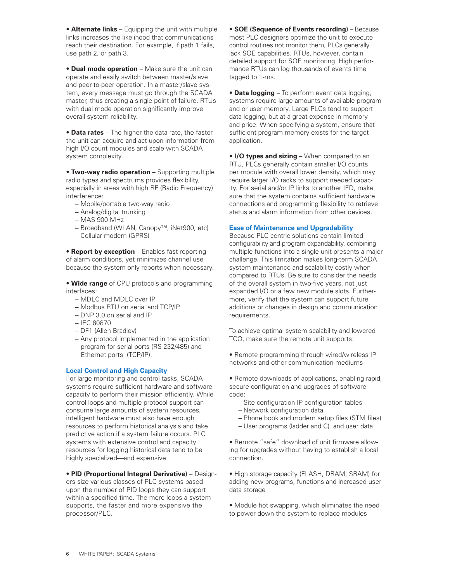• **Alternate links** – Equipping the unit with multiple links increases the likelihood that communications reach their destination. For example, if path 1 fails, use path 2, or path 3.

• **Dual mode operation** – Make sure the unit can operate and easily switch between master/slave and peer-to-peer operation. In a master/slave system, every message must go through the SCADA master, thus creating a single point of failure. RTUs with dual mode operation significantly improve overall system reliability.

• **Data rates** – The higher the data rate, the faster the unit can acquire and act upon information from high I/O count modules and scale with SCADA system complexity.

• **Two-way radio operation** – Supporting multiple radio types and spectrums provides flexibility, especially in areas with high RF (Radio Frequency) interference:

- Mobile/portable two-way radio
- Analog/digital trunking
- MAS 900 MHz
- Broadband (WLAN, Canopy™, iNet900, etc)
- Cellular modem (GPRS)

• **Report by exception** – Enables fast reporting of alarm conditions, yet minimizes channel use because the system only reports when necessary.

• **Wide range** of CPU protocols and programming interfaces:

- MDLC and MDLC over IP
- Modbus RTU on serial and TCP/IP
- DNP 3.0 on serial and IP
- IEC 60870
- DF1 (Allen Bradley)
- Any protocol implemented in the application program for serial ports (RS-232/485) and Ethernet ports (TCP/IP).

# **Local Control and High Capacity**

For large monitoring and control tasks, SCADA systems require sufficient hardware and software capacity to perform their mission efficiently. While control loops and multiple protocol support can consume large amounts of system resources, intelligent hardware must also have enough resources to perform historical analysis and take predictive action if a system failure occurs. PLC systems with extensive control and capacity resources for logging historical data tend to be highly specialized—and expensive.

# • **PID (Proportional Integral Derivative)** – Design-

ers size various classes of PLC systems based upon the number of PID loops they can support within a specified time. The more loops a system supports, the faster and more expensive the processor/PLC.

• **SOE (Sequence of Events recording)** – Because most PLC designers optimize the unit to execute control routines not monitor them, PLCs generally lack SOE capabilities. RTUs, however, contain detailed support for SOE monitoring. High performance RTUs can log thousands of events time tagged to 1-ms.

• **Data logging** – To perform event data logging, systems require large amounts of available program and or user memory. Large PLCs tend to support data logging, but at a great expense in memory and price. When specifying a system, ensure that sufficient program memory exists for the target application.

• **I/O types and sizing** – When compared to an RTU, PLCs generally contain smaller I/O counts per module with overall lower density, which may require larger I/O racks to support needed capacity. For serial and/or IP links to another IED, make sure that the system contains sufficient hardware connections and programming flexibility to retrieve status and alarm information from other devices.

# **Ease of Maintenance and Upgradability**

Because PLC-centric solutions contain limited configurability and program expandability, combining multiple functions into a single unit presents a major challenge. This limitation makes long-term SCADA system maintenance and scalability costly when compared to RTUs. Be sure to consider the needs of the overall system in two-five years, not just expanded I/O or a few new module slots. Furthermore, verify that the system can support future additions or changes in design and communication requirements.

To achieve optimal system scalability and lowered TCO, make sure the remote unit supports:

• Remote programming through wired/wireless IP networks and other communication mediums

• Remote downloads of applications, enabling rapid, secure configuration and upgrades of software code:

- Site configuration IP configuration tables
- Network configuration data
- Phone book and modem setup files (STM files)
- User programs (ladder and C) and user data

• Remote "safe" download of unit firmware allowing for upgrades without having to establish a local connection.

• High storage capacity (FLASH, DRAM, SRAM) for adding new programs, functions and increased user data storage

• Module hot swapping, which eliminates the need to power down the system to replace modules